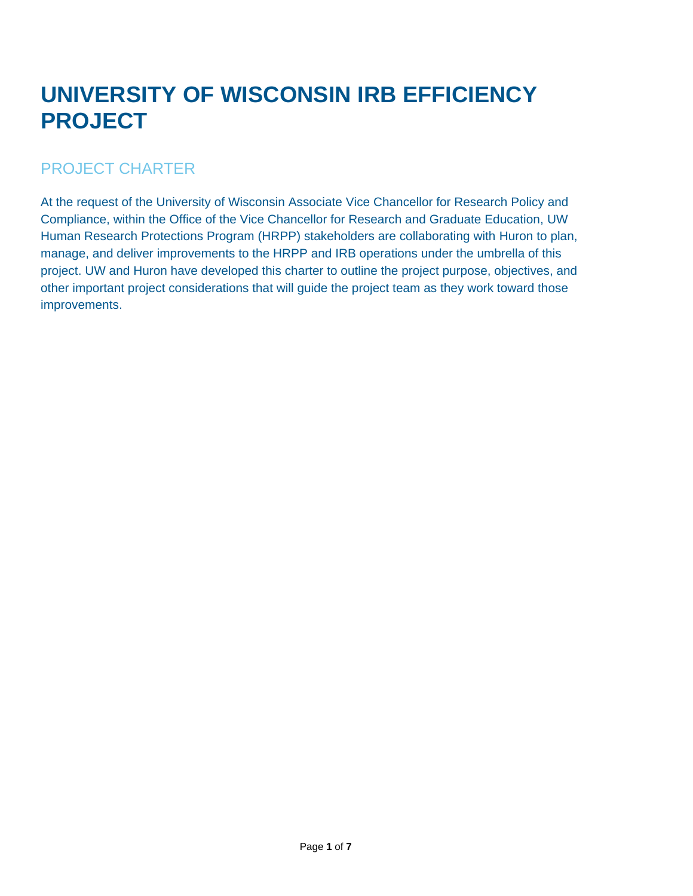# **UNIVERSITY OF WISCONSIN IRB EFFICIENCY PROJECT**

#### PROJECT CHARTER

At the request of the University of Wisconsin Associate Vice Chancellor for Research Policy and Compliance, within the Office of the Vice Chancellor for Research and Graduate Education, UW Human Research Protections Program (HRPP) stakeholders are collaborating with Huron to plan, manage, and deliver improvements to the HRPP and IRB operations under the umbrella of this project. UW and Huron have developed this charter to outline the project purpose, objectives, and other important project considerations that will guide the project team as they work toward those improvements.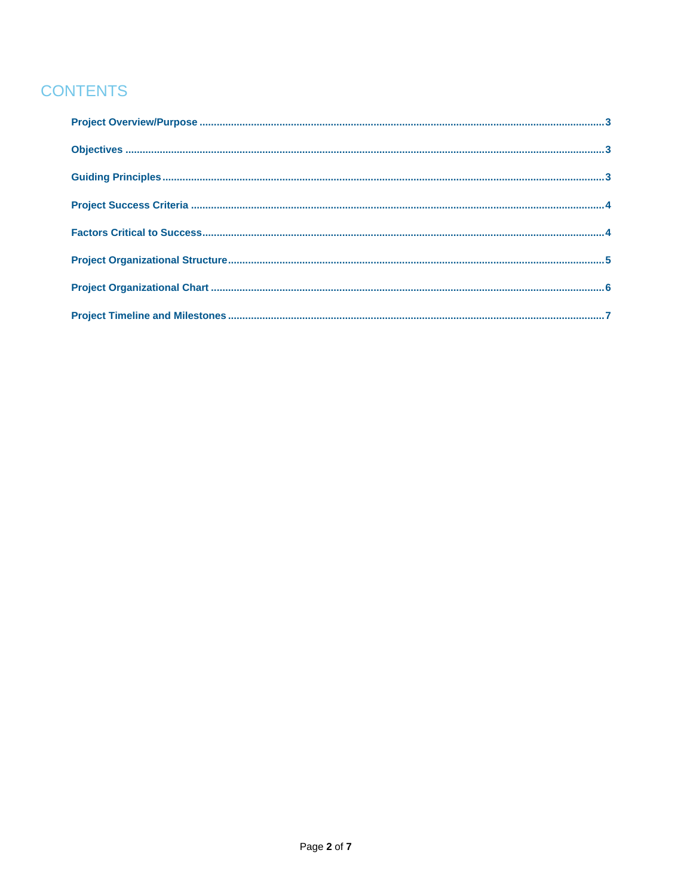## **CONTENTS**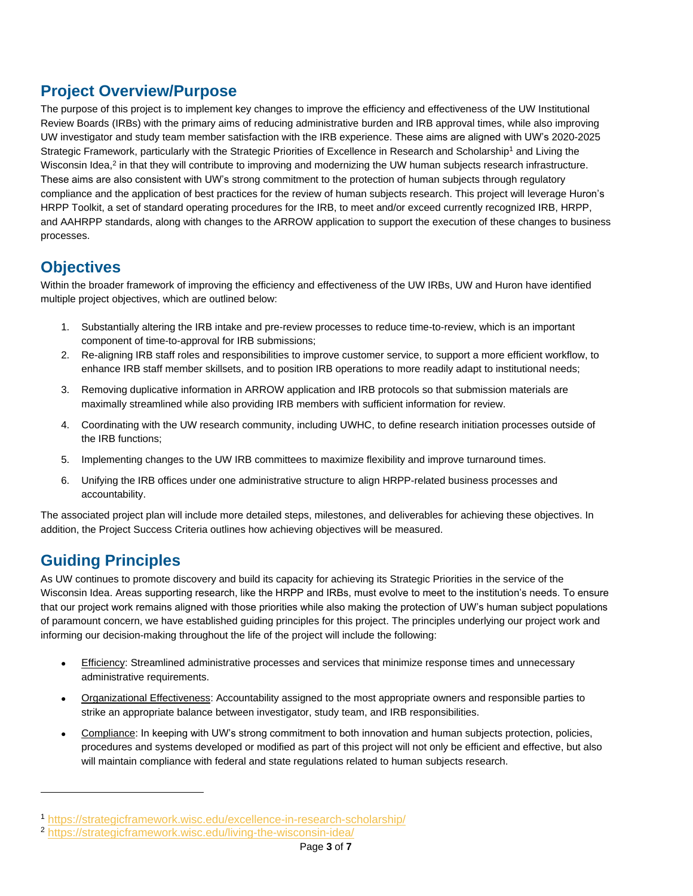#### <span id="page-2-0"></span>**Project Overview/Purpose**

The purpose of this project is to implement key changes to improve the efficiency and effectiveness of the UW Institutional Review Boards (IRBs) with the primary aims of reducing administrative burden and IRB approval times, while also improving UW investigator and study team member satisfaction with the IRB experience. These aims are aligned with UW's 2020-2025 Strategic Framework, particularly with the Strategic Priorities of Excellence in Research and Scholarship<sup>1</sup> and Living the Wisconsin Idea,<sup>2</sup> in that they will contribute to improving and modernizing the UW human subjects research infrastructure. These aims are also consistent with UW's strong commitment to the protection of human subjects through regulatory compliance and the application of best practices for the review of human subjects research. This project will leverage Huron's HRPP Toolkit, a set of standard operating procedures for the IRB, to meet and/or exceed currently recognized IRB, HRPP, and AAHRPP standards, along with changes to the ARROW application to support the execution of these changes to business processes.

#### <span id="page-2-1"></span>**Objectives**

Within the broader framework of improving the efficiency and effectiveness of the UW IRBs, UW and Huron have identified multiple project objectives, which are outlined below:

- 1. Substantially altering the IRB intake and pre-review processes to reduce time-to-review, which is an important component of time-to-approval for IRB submissions;
- 2. Re-aligning IRB staff roles and responsibilities to improve customer service, to support a more efficient workflow, to enhance IRB staff member skillsets, and to position IRB operations to more readily adapt to institutional needs;
- 3. Removing duplicative information in ARROW application and IRB protocols so that submission materials are maximally streamlined while also providing IRB members with sufficient information for review.
- 4. Coordinating with the UW research community, including UWHC, to define research initiation processes outside of the IRB functions;
- 5. Implementing changes to the UW IRB committees to maximize flexibility and improve turnaround times.
- 6. Unifying the IRB offices under one administrative structure to align HRPP-related business processes and accountability.

The associated project plan will include more detailed steps, milestones, and deliverables for achieving these objectives. In addition, the Project Success Criteria outlines how achieving objectives will be measured.

#### <span id="page-2-2"></span>**Guiding Principles**

As UW continues to promote discovery and build its capacity for achieving its Strategic Priorities in the service of the Wisconsin Idea. Areas supporting research, like the HRPP and IRBs, must evolve to meet to the institution's needs. To ensure that our project work remains aligned with those priorities while also making the protection of UW's human subject populations of paramount concern, we have established guiding principles for this project. The principles underlying our project work and informing our decision-making throughout the life of the project will include the following:

- Efficiency: Streamlined administrative processes and services that minimize response times and unnecessary administrative requirements.
- Organizational Effectiveness: Accountability assigned to the most appropriate owners and responsible parties to strike an appropriate balance between investigator, study team, and IRB responsibilities.
- Compliance: In keeping with UW's strong commitment to both innovation and human subjects protection, policies, procedures and systems developed or modified as part of this project will not only be efficient and effective, but also will maintain compliance with federal and state regulations related to human subjects research.

<sup>1</sup> <https://strategicframework.wisc.edu/excellence-in-research-scholarship/>

<sup>2</sup> <https://strategicframework.wisc.edu/living-the-wisconsin-idea/>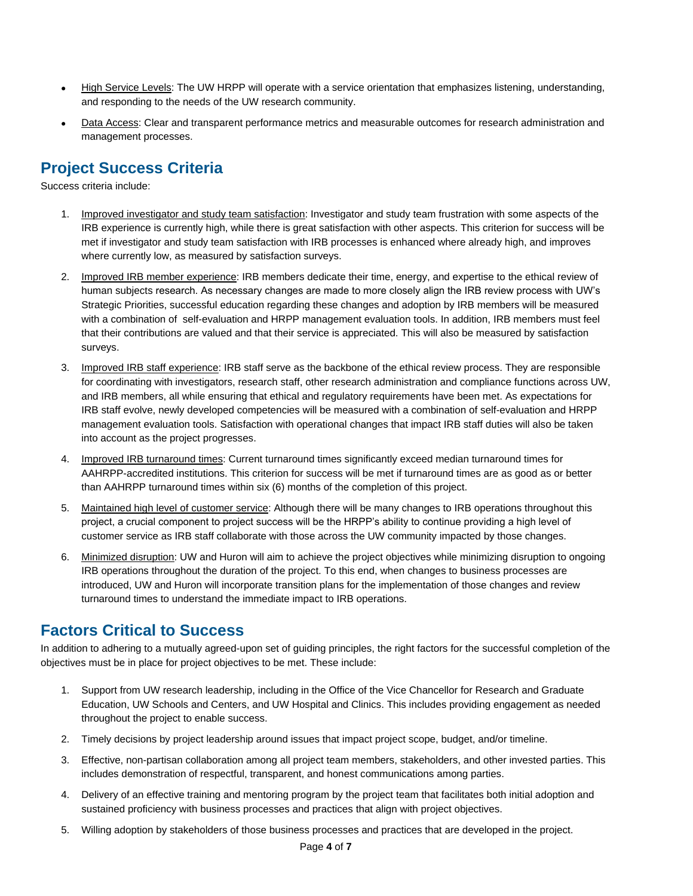- High Service Levels: The UW HRPP will operate with a service orientation that emphasizes listening, understanding, and responding to the needs of the UW research community.
- Data Access: Clear and transparent performance metrics and measurable outcomes for research administration and management processes.

#### <span id="page-3-0"></span>**Project Success Criteria**

Success criteria include:

- 1. Improved investigator and study team satisfaction: Investigator and study team frustration with some aspects of the IRB experience is currently high, while there is great satisfaction with other aspects. This criterion for success will be met if investigator and study team satisfaction with IRB processes is enhanced where already high, and improves where currently low, as measured by satisfaction surveys.
- 2. Improved IRB member experience: IRB members dedicate their time, energy, and expertise to the ethical review of human subjects research. As necessary changes are made to more closely align the IRB review process with UW's Strategic Priorities, successful education regarding these changes and adoption by IRB members will be measured with a combination of self-evaluation and HRPP management evaluation tools. In addition, IRB members must feel that their contributions are valued and that their service is appreciated. This will also be measured by satisfaction surveys.
- 3. Improved IRB staff experience: IRB staff serve as the backbone of the ethical review process. They are responsible for coordinating with investigators, research staff, other research administration and compliance functions across UW, and IRB members, all while ensuring that ethical and regulatory requirements have been met. As expectations for IRB staff evolve, newly developed competencies will be measured with a combination of self-evaluation and HRPP management evaluation tools. Satisfaction with operational changes that impact IRB staff duties will also be taken into account as the project progresses.
- 4. Improved IRB turnaround times: Current turnaround times significantly exceed median turnaround times for AAHRPP-accredited institutions. This criterion for success will be met if turnaround times are as good as or better than AAHRPP turnaround times within six (6) months of the completion of this project.
- 5. Maintained high level of customer service: Although there will be many changes to IRB operations throughout this project, a crucial component to project success will be the HRPP's ability to continue providing a high level of customer service as IRB staff collaborate with those across the UW community impacted by those changes.
- 6. Minimized disruption: UW and Huron will aim to achieve the project objectives while minimizing disruption to ongoing IRB operations throughout the duration of the project. To this end, when changes to business processes are introduced, UW and Huron will incorporate transition plans for the implementation of those changes and review turnaround times to understand the immediate impact to IRB operations.

#### <span id="page-3-1"></span>**Factors Critical to Success**

In addition to adhering to a mutually agreed-upon set of guiding principles, the right factors for the successful completion of the objectives must be in place for project objectives to be met. These include:

- 1. Support from UW research leadership, including in the Office of the Vice Chancellor for Research and Graduate Education, UW Schools and Centers, and UW Hospital and Clinics. This includes providing engagement as needed throughout the project to enable success.
- 2. Timely decisions by project leadership around issues that impact project scope, budget, and/or timeline.
- 3. Effective, non-partisan collaboration among all project team members, stakeholders, and other invested parties. This includes demonstration of respectful, transparent, and honest communications among parties.
- 4. Delivery of an effective training and mentoring program by the project team that facilitates both initial adoption and sustained proficiency with business processes and practices that align with project objectives.
- 5. Willing adoption by stakeholders of those business processes and practices that are developed in the project.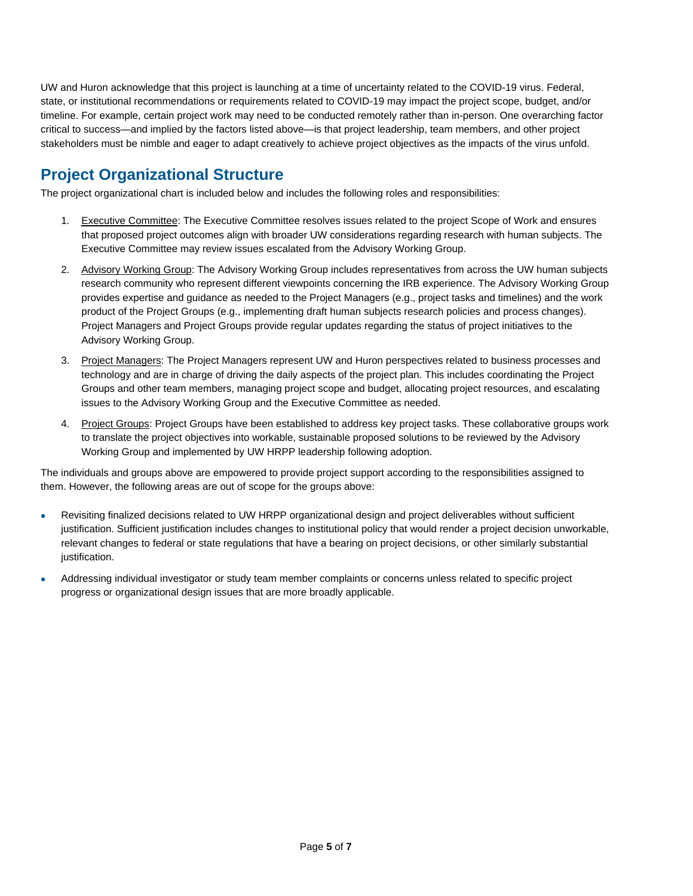UW and Huron acknowledge that this project is launching at a time of uncertainty related to the COVID-19 virus. Federal, state, or institutional recommendations or requirements related to COVID-19 may impact the project scope, budget, and/or timeline. For example, certain project work may need to be conducted remotely rather than in-person. One overarching factor critical to success—and implied by the factors listed above—is that project leadership, team members, and other project stakeholders must be nimble and eager to adapt creatively to achieve project objectives as the impacts of the virus unfold.

## <span id="page-4-0"></span>**Project Organizational Structure**

The project organizational chart is included below and includes the following roles and responsibilities:

- 1. Executive Committee: The Executive Committee resolves issues related to the project Scope of Work and ensures that proposed project outcomes align with broader UW considerations regarding research with human subjects. The Executive Committee may review issues escalated from the Advisory Working Group.
- 2. Advisory Working Group: The Advisory Working Group includes representatives from across the UW human subjects research community who represent different viewpoints concerning the IRB experience. The Advisory Working Group provides expertise and guidance as needed to the Project Managers (e.g., project tasks and timelines) and the work product of the Project Groups (e.g., implementing draft human subjects research policies and process changes). Project Managers and Project Groups provide regular updates regarding the status of project initiatives to the Advisory Working Group.
- 3. Project Managers: The Project Managers represent UW and Huron perspectives related to business processes and technology and are in charge of driving the daily aspects of the project plan. This includes coordinating the Project Groups and other team members, managing project scope and budget, allocating project resources, and escalating issues to the Advisory Working Group and the Executive Committee as needed.
- 4. Project Groups: Project Groups have been established to address key project tasks. These collaborative groups work to translate the project objectives into workable, sustainable proposed solutions to be reviewed by the Advisory Working Group and implemented by UW HRPP leadership following adoption.

The individuals and groups above are empowered to provide project support according to the responsibilities assigned to them. However, the following areas are out of scope for the groups above:

- Revisiting finalized decisions related to UW HRPP organizational design and project deliverables without sufficient justification. Sufficient justification includes changes to institutional policy that would render a project decision unworkable, relevant changes to federal or state regulations that have a bearing on project decisions, or other similarly substantial justification.
- Addressing individual investigator or study team member complaints or concerns unless related to specific project progress or organizational design issues that are more broadly applicable.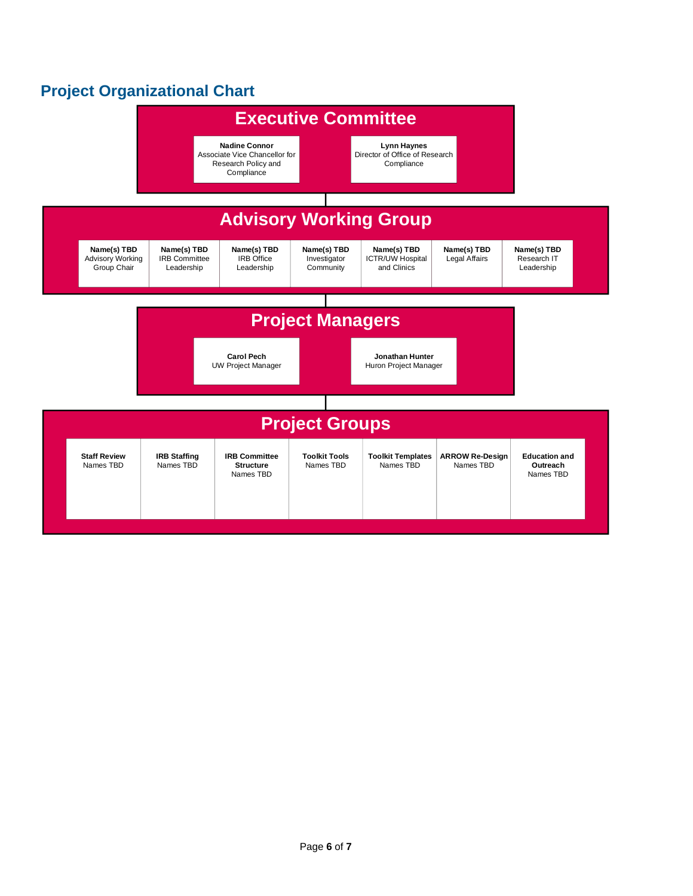# <span id="page-5-0"></span>**Project Organizational Chart**